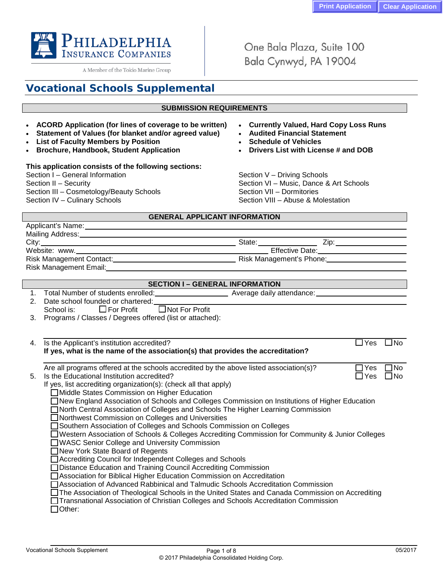

A Member of the Tokio Marine Group

One Bala Plaza, Suite 100 Bala Cynwyd, PA 19004

# **Vocational Schools Supplemental**

## **SUBMISSION REQUIREMENTS**

- **ACORD Application (for lines of coverage to be written) Currently Valued, Hard Copy Loss Runs**
- Statement of Values (for blanket and/or agreed value) •
- **List of Faculty Members by Position Schedule of Vehicles**
- **Brochure, Handbook, Student Application**

## **This application consists of the following sections:**

Section I – General Information Section V – Driving Schools Section III – Cosmetology/Beauty Schools<br>Section IV – Culinary Schools

- 
- 
- 
- 

Section II – Security<br>
Section III – Cosmetology/Beauty Schools<br>
Section VII – Dormitories Section VIII – Abuse & Molestation

## **GENERAL APPLICANT INFORMATION**

| Applicant's Name:             |        |                                                     |  |
|-------------------------------|--------|-----------------------------------------------------|--|
| Mailing Address:_____________ |        |                                                     |  |
| City:                         | State: | ∠lD:                                                |  |
| Website: www.                 |        | Effective Date: The Contract of the Effective Date: |  |
|                               |        | Risk Management's Phone: 2008                       |  |
| Risk Management Email:        |        |                                                     |  |

|                | <b>SECTION I - GENERAL INFORMATION</b>                                                               |  |  |
|----------------|------------------------------------------------------------------------------------------------------|--|--|
| 1 <sub>1</sub> | Average daily attendance:                                                                            |  |  |
| 2.             | Date school founded or chartered:                                                                    |  |  |
|                | $\Box$ Not For Profit<br>$\Box$ For Profit<br>School is:                                             |  |  |
| 3.             | Programs / Classes / Degrees offered (list or attached):                                             |  |  |
|                |                                                                                                      |  |  |
| 4.             | Is the Applicant's institution accredited?<br>∃No<br>l IYes                                          |  |  |
|                | If yes, what is the name of the association(s) that provides the accreditation?                      |  |  |
|                |                                                                                                      |  |  |
|                | コNo<br>Are all programs offered at the schools accredited by the above listed association(s)?<br>Yes |  |  |
| 5.             | Is the Educational Institution accredited?<br>⊟No<br>l IYes                                          |  |  |
|                | If yes, list accrediting organization(s): (check all that apply)                                     |  |  |
|                | □ Middle States Commission on Higher Education                                                       |  |  |
|                | □ New England Association of Schools and Colleges Commission on Institutions of Higher Education     |  |  |
|                | □ North Central Association of Colleges and Schools The Higher Learning Commission                   |  |  |
|                | Northwest Commission on Colleges and Universities                                                    |  |  |
|                | Southern Association of Colleges and Schools Commission on Colleges                                  |  |  |
|                | □Western Association of Schools & Colleges Accrediting Commission for Community & Junior Colleges    |  |  |
|                | ◯WASC Senior College and University Commission                                                       |  |  |
|                | ■ New York State Board of Regents                                                                    |  |  |
|                | Accrediting Council for Independent Colleges and Schools                                             |  |  |
|                | □ Distance Education and Training Council Accrediting Commission                                     |  |  |
|                | Association for Biblical Higher Education Commission on Accreditation                                |  |  |
|                | □ Association of Advanced Rabbinical and Talmudic Schools Accreditation Commission                   |  |  |
|                | □The Association of Theological Schools in the United States and Canada Commission on Accrediting    |  |  |
|                | □Transnational Association of Christian Colleges and Schools Accreditation Commission                |  |  |
|                | $\Box$ Other:                                                                                        |  |  |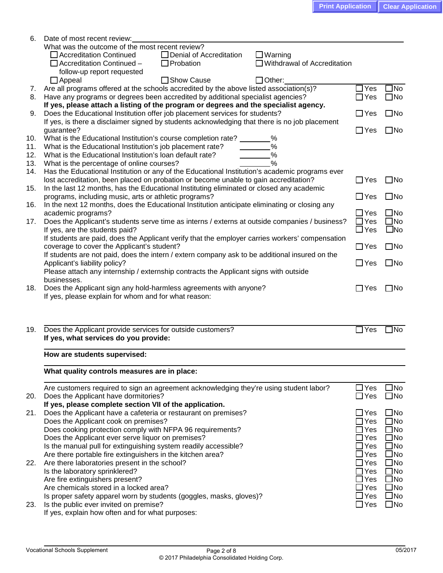| 6.  | Date of most recent review:                                                                     |                                |              |
|-----|-------------------------------------------------------------------------------------------------|--------------------------------|--------------|
|     | What was the outcome of the most recent review?                                                 |                                |              |
|     | □ Accreditation Continued<br>□ Denial of Accreditation<br>$\Box$ Warning                        |                                |              |
|     | Withdrawal of Accreditation<br>$\Box$ Accreditation Continued -<br>$\Box$ Probation             |                                |              |
|     | follow-up report requested                                                                      |                                |              |
|     | $\Box$ Appeal<br>□ Show Cause<br>$\Box$ Other:                                                  |                                |              |
| 7.  | Are all programs offered at the schools accredited by the above listed association(s)?          | $\Box$ Yes                     | $\Box$ No    |
| 8.  | Have any programs or degrees been accredited by additional specialist agencies?                 | $\Box$ Yes                     | $\square$ No |
|     | If yes, please attach a listing of the program or degrees and the specialist agency.            |                                |              |
| 9.  | Does the Educational Institution offer job placement services for students?                     | $\Box$ Yes                     | $\square$ No |
|     | If yes, is there a disclaimer signed by students acknowledging that there is no job placement   |                                |              |
|     | guarantee?                                                                                      | $\Box$ Yes                     | $\square$ No |
| 10. | What is the Educational Institution's course completion rate?<br>%                              |                                |              |
| 11. | %<br>What is the Educational Institution's job placement rate?                                  |                                |              |
| 12. | What is the Educational Institution's loan default rate?<br>%                                   |                                |              |
| 13. | %<br>What is the percentage of online courses?                                                  |                                |              |
| 14. | Has the Educational Institution or any of the Educational Institution's academic programs ever  |                                |              |
|     | lost accreditation, been placed on probation or become unable to gain accreditation?            | $\Box$ Yes                     | $\square$ No |
| 15. | In the last 12 months, has the Educational Instituting eliminated or closed any academic        |                                |              |
|     | programs, including music, arts or athletic programs?                                           | $\Box$ Yes                     | $\square$ No |
| 16. | In the next 12 months, does the Educational Institution anticipate eliminating or closing any   |                                |              |
|     |                                                                                                 |                                | $\square$ No |
|     | academic programs?                                                                              | $\Box$ Yes                     |              |
| 17. | Does the Applicant's students serve time as interns / externs at outside companies / business?  | $\Box$ Yes                     | $\square$ No |
|     | If yes, are the students paid?                                                                  | $\Box$ Yes                     | $\square$ No |
|     | If students are paid, does the Applicant verify that the employer carries workers' compensation |                                |              |
|     | coverage to cover the Applicant's student?                                                      | $\Box$ Yes                     | $\square$ No |
|     | If students are not paid, does the intern / extern company ask to be additional insured on the  |                                |              |
|     | Applicant's liability policy?                                                                   | $\Box$ Yes                     | $\square$ No |
|     | Please attach any internship / externship contracts the Applicant signs with outside            |                                |              |
|     | businesses.                                                                                     |                                |              |
| 18. | Does the Applicant sign any hold-harmless agreements with anyone?                               | $\Box$ Yes                     | $\square$ No |
|     | If yes, please explain for whom and for what reason:                                            |                                |              |
|     |                                                                                                 |                                |              |
|     |                                                                                                 |                                |              |
|     |                                                                                                 |                                |              |
| 19. | Does the Applicant provide services for outside customers?                                      | $\Box$ Yes                     | $\Box$ No    |
|     | If yes, what services do you provide:                                                           |                                |              |
|     |                                                                                                 |                                |              |
|     | How are students supervised:                                                                    |                                |              |
|     |                                                                                                 |                                |              |
|     | What quality controls measures are in place:                                                    |                                |              |
|     |                                                                                                 |                                |              |
|     | Are customers required to sign an agreement acknowledging they're using student labor?          | $\Box$ Yes                     | ]No          |
| 20. | Does the Applicant have dormitories?                                                            | $\Box$ Yes                     | $\square$ No |
|     | If yes, please complete section VII of the application.                                         |                                |              |
| 21. | Does the Applicant have a cafeteria or restaurant on premises?                                  | $\Box$ Yes                     | $\square$ No |
|     | Does the Applicant cook on premises?                                                            | $\sqsupset$ Yes                | $\square$ No |
|     | Does cooking protection comply with NFPA 96 requirements?                                       | $\exists$ Yes                  | $\square$ No |
|     | Does the Applicant ever serve liquor on premises?                                               | Yes                            | $\square$ No |
|     | Is the manual pull for extinguishing system readily accessible?                                 | $\exists$ Yes                  | $\square$ No |
|     | Are there portable fire extinguishers in the kitchen area?                                      | Yes                            | $\square$ No |
| 22. | Are there laboratories present in the school?                                                   | Yes                            | $\square$ No |
|     | Is the laboratory sprinklered?                                                                  | Yes                            | $\square$ No |
|     | Are fire extinguishers present?                                                                 | Yes                            | $\square$ No |
|     | Are chemicals stored in a locked area?                                                          | $\sf JYes$                     | $\square$ No |
|     | Is proper safety apparel worn by students (goggles, masks, gloves)?                             | $\operatorname{\mathsf{JYes}}$ | $\square$ No |
| 23. | Is the public ever invited on premise?                                                          | $\Box$ Yes                     | $\square$ No |
|     | If yes, explain how often and for what purposes:                                                |                                |              |
|     |                                                                                                 |                                |              |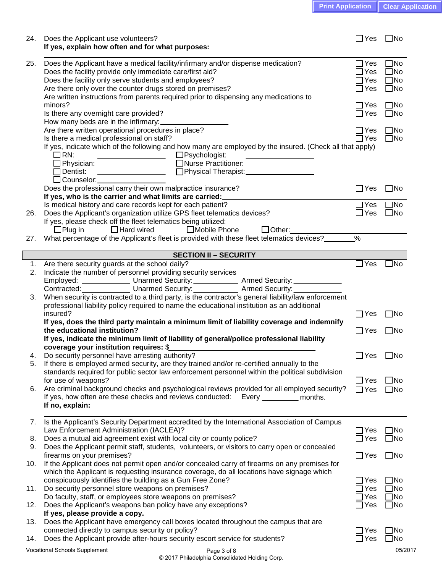| <b>Print Application   Clear Application</b> |  |
|----------------------------------------------|--|
|                                              |  |

| Does the Applicant have a medical facility/infirmary and/or dispense medication?<br>$\Box$ Yes<br>25.<br>Does the facility provide only immediate care/first aid?<br>$\Box$ Yes<br>Does the facility only serve students and employees?<br>$\Box$ Yes<br>Are there only over the counter drugs stored on premises?<br>$\Box$ Yes<br>Are written instructions from parents required prior to dispensing any medications to<br>minors?<br>ΠYes<br>Is there any overnight care provided?<br>$\Box$ Yes<br>How many beds are in the infirmary:<br>Are there written operational procedures in place?<br>$\Box$ Yes<br>Is there a medical professional on staff?<br>$\Box$ Yes<br>If yes, indicate which of the following and how many are employed by the insured. (Check all that apply)<br>$\Box$ RN:<br>□Psychologist:<br><u> Alexandria de la contextual de la contextual de la contextual de la contextual de la contextual de la contextual de la contextual de la contextual de la contextual de la contextual de la contextual de la contextual de la</u><br>Denging and Therapist:<br>$\Box$ Dentist:<br>$\Box$ Counselor: $\Box$<br>Does the professional carry their own malpractice insurance?<br>$\Box$ Yes<br>If yes, who is the carrier and what limits are carried:<br>Is medical history and care records kept for each patient?<br>$\Box$ Yes<br>Does the Applicant's organization utilize GPS fleet telematics devices?<br>$\Box$ Yes<br>26.<br>If yes, please check off the fleet telematics being utilized:<br>$\Box$ Plug in<br>$\Box$ Hard wired<br>■ Mobile Phone<br>$\Box$ Other: $\_\_\_\_\_\_\_\_\_\_\_\_\_$<br>$\overline{\frac{9}{6}}$<br>What percentage of the Applicant's fleet is provided with these fleet telematics devices?<br>27.<br><b>SECTION II - SECURITY</b><br>$\Box$ Yes<br>Are there security guards at the school daily?<br>1.<br>Indicate the number of personnel providing security services<br>2.<br>Employed: ________________ Unarmed Security: ____________ Armed Security: ____________<br>Contracted: Unarmed Security: Armed Security: Contracted: Manuscription Contracted:<br>When security is contracted to a third party, is the contractor's general liability/law enforcement<br>3.<br>professional liability policy required to name the educational institution as an additional<br>insured?<br>$\Box$ Yes<br>$\square$ No<br>If yes, does the third party maintain a minimum limit of liability coverage and indemnify<br>the educational institution?<br>$\Box$ Yes<br>If yes, indicate the minimum limit of liability of general/police professional liability<br>coverage your institution requires: \$<br>$\Box$ Yes<br>Do security personnel have arresting authority?<br>4.<br>If there is employed armed security, are they trained and/or re-certified annually to the<br>5.<br>standards required for public sector law enforcement personnel within the political subdivision<br>$\Box$ Yes<br>for use of weapons?<br>Are criminal background checks and psychological reviews provided for all employed security?<br>6.<br>$\Box$ Yes<br>If yes, how often are these checks and reviews conducted:<br>Every $\_\_$<br>months.<br>If no, explain:<br>Is the Applicant's Security Department accredited by the International Association of Campus<br>7.<br>Law Enforcement Administration (IACLEA)?<br>$\Box$ Yes<br>$\square$ No<br>Does a mutual aid agreement exist with local city or county police?<br>$\Box$ Yes<br>8.<br>Does the Applicant permit staff, students, volunteers, or visitors to carry open or concealed<br>9.<br>firearms on your premises?<br>$\Box$ Yes<br>If the Applicant does not permit open and/or concealed carry of firearms on any premises for<br>10.<br>which the Applicant is requesting insurance coverage, do all locations have signage which<br>conspicuously identifies the building as a Gun Free Zone?<br>$\Box$ Yes<br>Do security personnel store weapons on premises?<br>11.<br>$\Box$ Yes<br>Do faculty, staff, or employees store weapons on premises?<br>$\Box$ Yes<br>Does the Applicant's weapons ban policy have any exceptions?<br>$\Box$ Yes<br>12.<br>If yes, please provide a copy.<br>Does the Applicant have emergency call boxes located throughout the campus that are<br>13.<br>connected directly to campus security or policy?<br>$\Box$ Yes<br>Does the Applicant provide after-hours security escort service for students?<br>$\square$ No<br>$\Box$ Yes<br>14.<br>Vocational Schools Supplement | 24. | Does the Applicant use volunteers?<br>If yes, explain how often and for what purposes: | $\Box$ Yes | $\square$ No                                                 |
|-----------------------------------------------------------------------------------------------------------------------------------------------------------------------------------------------------------------------------------------------------------------------------------------------------------------------------------------------------------------------------------------------------------------------------------------------------------------------------------------------------------------------------------------------------------------------------------------------------------------------------------------------------------------------------------------------------------------------------------------------------------------------------------------------------------------------------------------------------------------------------------------------------------------------------------------------------------------------------------------------------------------------------------------------------------------------------------------------------------------------------------------------------------------------------------------------------------------------------------------------------------------------------------------------------------------------------------------------------------------------------------------------------------------------------------------------------------------------------------------------------------------------------------------------------------------------------------------------------------------------------------------------------------------------------------------------------------------------------------------------------------------------------------------------------------------------------------------------------------------------------------------------------------------------------------------------------------------------------------------------------------------------------------------------------------------------------------------------------------------------------------------------------------------------------------------------------------------------------------------------------------------------------------------------------------------------------------------------------------------------------------------------------------------------------------------------------------------------------------------------------------------------------------------------------------------------------------------------------------------------------------------------------------------------------------------------------------------------------------------------------------------------------------------------------------------------------------------------------------------------------------------------------------------------------------------------------------------------------------------------------------------------------------------------------------------------------------------------------------------------------------------------------------------------------------------------------------------------------------------------------------------------------------------------------------------------------------------------------------------------------------------------------------------------------------------------------------------------------------------------------------------------------------------------------------------------------------------------------------------------------------------------------------------------------------------------------------------------------------------------------------------------------------------------------------------------------------------------------------------------------------------------------------------------------------------------------------------------------------------------------------------------------------------------------------------------------------------------------------------------------------------------------------------------------------------------------------------------------------------------------------------------------------------------------------------------------------------------------------------------------------------------------------------------------------------------------------------------------------------------------------------------------------------|-----|----------------------------------------------------------------------------------------|------------|--------------------------------------------------------------|
|                                                                                                                                                                                                                                                                                                                                                                                                                                                                                                                                                                                                                                                                                                                                                                                                                                                                                                                                                                                                                                                                                                                                                                                                                                                                                                                                                                                                                                                                                                                                                                                                                                                                                                                                                                                                                                                                                                                                                                                                                                                                                                                                                                                                                                                                                                                                                                                                                                                                                                                                                                                                                                                                                                                                                                                                                                                                                                                                                                                                                                                                                                                                                                                                                                                                                                                                                                                                                                                                                                                                                                                                                                                                                                                                                                                                                                                                                                                                                                                                                                                                                                                                                                                                                                                                                                                                                                                                                                                                                                                                         |     |                                                                                        |            | $\square$ No<br>$\square$ No<br>$\square$ No<br>$\square$ No |
|                                                                                                                                                                                                                                                                                                                                                                                                                                                                                                                                                                                                                                                                                                                                                                                                                                                                                                                                                                                                                                                                                                                                                                                                                                                                                                                                                                                                                                                                                                                                                                                                                                                                                                                                                                                                                                                                                                                                                                                                                                                                                                                                                                                                                                                                                                                                                                                                                                                                                                                                                                                                                                                                                                                                                                                                                                                                                                                                                                                                                                                                                                                                                                                                                                                                                                                                                                                                                                                                                                                                                                                                                                                                                                                                                                                                                                                                                                                                                                                                                                                                                                                                                                                                                                                                                                                                                                                                                                                                                                                                         |     |                                                                                        |            | $\square$ No<br>$\square$ No                                 |
|                                                                                                                                                                                                                                                                                                                                                                                                                                                                                                                                                                                                                                                                                                                                                                                                                                                                                                                                                                                                                                                                                                                                                                                                                                                                                                                                                                                                                                                                                                                                                                                                                                                                                                                                                                                                                                                                                                                                                                                                                                                                                                                                                                                                                                                                                                                                                                                                                                                                                                                                                                                                                                                                                                                                                                                                                                                                                                                                                                                                                                                                                                                                                                                                                                                                                                                                                                                                                                                                                                                                                                                                                                                                                                                                                                                                                                                                                                                                                                                                                                                                                                                                                                                                                                                                                                                                                                                                                                                                                                                                         |     |                                                                                        |            | $\Box$ No<br>$\square$ No                                    |
|                                                                                                                                                                                                                                                                                                                                                                                                                                                                                                                                                                                                                                                                                                                                                                                                                                                                                                                                                                                                                                                                                                                                                                                                                                                                                                                                                                                                                                                                                                                                                                                                                                                                                                                                                                                                                                                                                                                                                                                                                                                                                                                                                                                                                                                                                                                                                                                                                                                                                                                                                                                                                                                                                                                                                                                                                                                                                                                                                                                                                                                                                                                                                                                                                                                                                                                                                                                                                                                                                                                                                                                                                                                                                                                                                                                                                                                                                                                                                                                                                                                                                                                                                                                                                                                                                                                                                                                                                                                                                                                                         |     |                                                                                        |            |                                                              |
|                                                                                                                                                                                                                                                                                                                                                                                                                                                                                                                                                                                                                                                                                                                                                                                                                                                                                                                                                                                                                                                                                                                                                                                                                                                                                                                                                                                                                                                                                                                                                                                                                                                                                                                                                                                                                                                                                                                                                                                                                                                                                                                                                                                                                                                                                                                                                                                                                                                                                                                                                                                                                                                                                                                                                                                                                                                                                                                                                                                                                                                                                                                                                                                                                                                                                                                                                                                                                                                                                                                                                                                                                                                                                                                                                                                                                                                                                                                                                                                                                                                                                                                                                                                                                                                                                                                                                                                                                                                                                                                                         |     |                                                                                        |            | $\square$ No                                                 |
|                                                                                                                                                                                                                                                                                                                                                                                                                                                                                                                                                                                                                                                                                                                                                                                                                                                                                                                                                                                                                                                                                                                                                                                                                                                                                                                                                                                                                                                                                                                                                                                                                                                                                                                                                                                                                                                                                                                                                                                                                                                                                                                                                                                                                                                                                                                                                                                                                                                                                                                                                                                                                                                                                                                                                                                                                                                                                                                                                                                                                                                                                                                                                                                                                                                                                                                                                                                                                                                                                                                                                                                                                                                                                                                                                                                                                                                                                                                                                                                                                                                                                                                                                                                                                                                                                                                                                                                                                                                                                                                                         |     |                                                                                        |            | $\square$ No<br>$\square$ No                                 |
|                                                                                                                                                                                                                                                                                                                                                                                                                                                                                                                                                                                                                                                                                                                                                                                                                                                                                                                                                                                                                                                                                                                                                                                                                                                                                                                                                                                                                                                                                                                                                                                                                                                                                                                                                                                                                                                                                                                                                                                                                                                                                                                                                                                                                                                                                                                                                                                                                                                                                                                                                                                                                                                                                                                                                                                                                                                                                                                                                                                                                                                                                                                                                                                                                                                                                                                                                                                                                                                                                                                                                                                                                                                                                                                                                                                                                                                                                                                                                                                                                                                                                                                                                                                                                                                                                                                                                                                                                                                                                                                                         |     |                                                                                        |            |                                                              |
|                                                                                                                                                                                                                                                                                                                                                                                                                                                                                                                                                                                                                                                                                                                                                                                                                                                                                                                                                                                                                                                                                                                                                                                                                                                                                                                                                                                                                                                                                                                                                                                                                                                                                                                                                                                                                                                                                                                                                                                                                                                                                                                                                                                                                                                                                                                                                                                                                                                                                                                                                                                                                                                                                                                                                                                                                                                                                                                                                                                                                                                                                                                                                                                                                                                                                                                                                                                                                                                                                                                                                                                                                                                                                                                                                                                                                                                                                                                                                                                                                                                                                                                                                                                                                                                                                                                                                                                                                                                                                                                                         |     |                                                                                        |            |                                                              |
|                                                                                                                                                                                                                                                                                                                                                                                                                                                                                                                                                                                                                                                                                                                                                                                                                                                                                                                                                                                                                                                                                                                                                                                                                                                                                                                                                                                                                                                                                                                                                                                                                                                                                                                                                                                                                                                                                                                                                                                                                                                                                                                                                                                                                                                                                                                                                                                                                                                                                                                                                                                                                                                                                                                                                                                                                                                                                                                                                                                                                                                                                                                                                                                                                                                                                                                                                                                                                                                                                                                                                                                                                                                                                                                                                                                                                                                                                                                                                                                                                                                                                                                                                                                                                                                                                                                                                                                                                                                                                                                                         |     |                                                                                        |            | $\square$ No                                                 |
|                                                                                                                                                                                                                                                                                                                                                                                                                                                                                                                                                                                                                                                                                                                                                                                                                                                                                                                                                                                                                                                                                                                                                                                                                                                                                                                                                                                                                                                                                                                                                                                                                                                                                                                                                                                                                                                                                                                                                                                                                                                                                                                                                                                                                                                                                                                                                                                                                                                                                                                                                                                                                                                                                                                                                                                                                                                                                                                                                                                                                                                                                                                                                                                                                                                                                                                                                                                                                                                                                                                                                                                                                                                                                                                                                                                                                                                                                                                                                                                                                                                                                                                                                                                                                                                                                                                                                                                                                                                                                                                                         |     |                                                                                        |            |                                                              |
|                                                                                                                                                                                                                                                                                                                                                                                                                                                                                                                                                                                                                                                                                                                                                                                                                                                                                                                                                                                                                                                                                                                                                                                                                                                                                                                                                                                                                                                                                                                                                                                                                                                                                                                                                                                                                                                                                                                                                                                                                                                                                                                                                                                                                                                                                                                                                                                                                                                                                                                                                                                                                                                                                                                                                                                                                                                                                                                                                                                                                                                                                                                                                                                                                                                                                                                                                                                                                                                                                                                                                                                                                                                                                                                                                                                                                                                                                                                                                                                                                                                                                                                                                                                                                                                                                                                                                                                                                                                                                                                                         |     |                                                                                        |            | $\square$ No                                                 |
|                                                                                                                                                                                                                                                                                                                                                                                                                                                                                                                                                                                                                                                                                                                                                                                                                                                                                                                                                                                                                                                                                                                                                                                                                                                                                                                                                                                                                                                                                                                                                                                                                                                                                                                                                                                                                                                                                                                                                                                                                                                                                                                                                                                                                                                                                                                                                                                                                                                                                                                                                                                                                                                                                                                                                                                                                                                                                                                                                                                                                                                                                                                                                                                                                                                                                                                                                                                                                                                                                                                                                                                                                                                                                                                                                                                                                                                                                                                                                                                                                                                                                                                                                                                                                                                                                                                                                                                                                                                                                                                                         |     |                                                                                        |            |                                                              |
|                                                                                                                                                                                                                                                                                                                                                                                                                                                                                                                                                                                                                                                                                                                                                                                                                                                                                                                                                                                                                                                                                                                                                                                                                                                                                                                                                                                                                                                                                                                                                                                                                                                                                                                                                                                                                                                                                                                                                                                                                                                                                                                                                                                                                                                                                                                                                                                                                                                                                                                                                                                                                                                                                                                                                                                                                                                                                                                                                                                                                                                                                                                                                                                                                                                                                                                                                                                                                                                                                                                                                                                                                                                                                                                                                                                                                                                                                                                                                                                                                                                                                                                                                                                                                                                                                                                                                                                                                                                                                                                                         |     |                                                                                        |            | $\square$ No                                                 |
|                                                                                                                                                                                                                                                                                                                                                                                                                                                                                                                                                                                                                                                                                                                                                                                                                                                                                                                                                                                                                                                                                                                                                                                                                                                                                                                                                                                                                                                                                                                                                                                                                                                                                                                                                                                                                                                                                                                                                                                                                                                                                                                                                                                                                                                                                                                                                                                                                                                                                                                                                                                                                                                                                                                                                                                                                                                                                                                                                                                                                                                                                                                                                                                                                                                                                                                                                                                                                                                                                                                                                                                                                                                                                                                                                                                                                                                                                                                                                                                                                                                                                                                                                                                                                                                                                                                                                                                                                                                                                                                                         |     |                                                                                        |            | $\square$ No<br>$\square$ No                                 |
|                                                                                                                                                                                                                                                                                                                                                                                                                                                                                                                                                                                                                                                                                                                                                                                                                                                                                                                                                                                                                                                                                                                                                                                                                                                                                                                                                                                                                                                                                                                                                                                                                                                                                                                                                                                                                                                                                                                                                                                                                                                                                                                                                                                                                                                                                                                                                                                                                                                                                                                                                                                                                                                                                                                                                                                                                                                                                                                                                                                                                                                                                                                                                                                                                                                                                                                                                                                                                                                                                                                                                                                                                                                                                                                                                                                                                                                                                                                                                                                                                                                                                                                                                                                                                                                                                                                                                                                                                                                                                                                                         |     |                                                                                        |            |                                                              |
|                                                                                                                                                                                                                                                                                                                                                                                                                                                                                                                                                                                                                                                                                                                                                                                                                                                                                                                                                                                                                                                                                                                                                                                                                                                                                                                                                                                                                                                                                                                                                                                                                                                                                                                                                                                                                                                                                                                                                                                                                                                                                                                                                                                                                                                                                                                                                                                                                                                                                                                                                                                                                                                                                                                                                                                                                                                                                                                                                                                                                                                                                                                                                                                                                                                                                                                                                                                                                                                                                                                                                                                                                                                                                                                                                                                                                                                                                                                                                                                                                                                                                                                                                                                                                                                                                                                                                                                                                                                                                                                                         |     |                                                                                        |            | $\square$ No                                                 |
|                                                                                                                                                                                                                                                                                                                                                                                                                                                                                                                                                                                                                                                                                                                                                                                                                                                                                                                                                                                                                                                                                                                                                                                                                                                                                                                                                                                                                                                                                                                                                                                                                                                                                                                                                                                                                                                                                                                                                                                                                                                                                                                                                                                                                                                                                                                                                                                                                                                                                                                                                                                                                                                                                                                                                                                                                                                                                                                                                                                                                                                                                                                                                                                                                                                                                                                                                                                                                                                                                                                                                                                                                                                                                                                                                                                                                                                                                                                                                                                                                                                                                                                                                                                                                                                                                                                                                                                                                                                                                                                                         |     |                                                                                        |            | $\square$ No                                                 |
|                                                                                                                                                                                                                                                                                                                                                                                                                                                                                                                                                                                                                                                                                                                                                                                                                                                                                                                                                                                                                                                                                                                                                                                                                                                                                                                                                                                                                                                                                                                                                                                                                                                                                                                                                                                                                                                                                                                                                                                                                                                                                                                                                                                                                                                                                                                                                                                                                                                                                                                                                                                                                                                                                                                                                                                                                                                                                                                                                                                                                                                                                                                                                                                                                                                                                                                                                                                                                                                                                                                                                                                                                                                                                                                                                                                                                                                                                                                                                                                                                                                                                                                                                                                                                                                                                                                                                                                                                                                                                                                                         |     |                                                                                        |            | $\square$ No<br>$\square$ No                                 |
|                                                                                                                                                                                                                                                                                                                                                                                                                                                                                                                                                                                                                                                                                                                                                                                                                                                                                                                                                                                                                                                                                                                                                                                                                                                                                                                                                                                                                                                                                                                                                                                                                                                                                                                                                                                                                                                                                                                                                                                                                                                                                                                                                                                                                                                                                                                                                                                                                                                                                                                                                                                                                                                                                                                                                                                                                                                                                                                                                                                                                                                                                                                                                                                                                                                                                                                                                                                                                                                                                                                                                                                                                                                                                                                                                                                                                                                                                                                                                                                                                                                                                                                                                                                                                                                                                                                                                                                                                                                                                                                                         |     |                                                                                        |            | $\square$ No<br>$\square$ No                                 |
|                                                                                                                                                                                                                                                                                                                                                                                                                                                                                                                                                                                                                                                                                                                                                                                                                                                                                                                                                                                                                                                                                                                                                                                                                                                                                                                                                                                                                                                                                                                                                                                                                                                                                                                                                                                                                                                                                                                                                                                                                                                                                                                                                                                                                                                                                                                                                                                                                                                                                                                                                                                                                                                                                                                                                                                                                                                                                                                                                                                                                                                                                                                                                                                                                                                                                                                                                                                                                                                                                                                                                                                                                                                                                                                                                                                                                                                                                                                                                                                                                                                                                                                                                                                                                                                                                                                                                                                                                                                                                                                                         |     |                                                                                        |            | $\square$ No                                                 |
|                                                                                                                                                                                                                                                                                                                                                                                                                                                                                                                                                                                                                                                                                                                                                                                                                                                                                                                                                                                                                                                                                                                                                                                                                                                                                                                                                                                                                                                                                                                                                                                                                                                                                                                                                                                                                                                                                                                                                                                                                                                                                                                                                                                                                                                                                                                                                                                                                                                                                                                                                                                                                                                                                                                                                                                                                                                                                                                                                                                                                                                                                                                                                                                                                                                                                                                                                                                                                                                                                                                                                                                                                                                                                                                                                                                                                                                                                                                                                                                                                                                                                                                                                                                                                                                                                                                                                                                                                                                                                                                                         |     | Page 3 of 8                                                                            |            | 05/2017                                                      |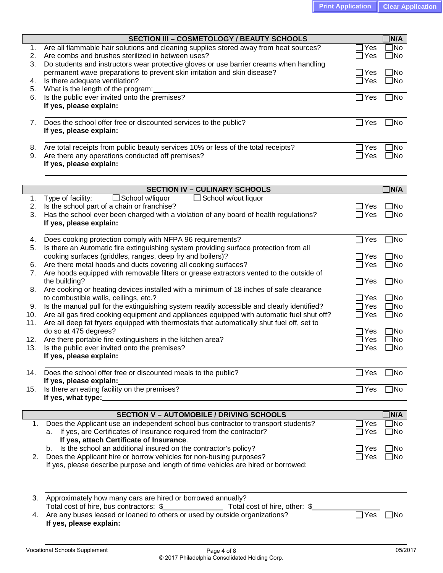|     | <b>SECTION III - COSMETOLOGY / BEAUTY SCHOOLS</b>                                                                                   |                               | <b>JN/A</b>  |
|-----|-------------------------------------------------------------------------------------------------------------------------------------|-------------------------------|--------------|
| 1.  | Are all flammable hair solutions and cleaning supplies stored away from heat sources?                                               | $\Box$ Yes                    | $\Box$ No    |
| 2.  | Are combs and brushes sterilized in between uses?                                                                                   | $\Box$ Yes                    | $\square$ No |
| 3.  | Do students and instructors wear protective gloves or use barrier creams when handling                                              |                               |              |
|     | permanent wave preparations to prevent skin irritation and skin disease?                                                            | $\Box$ Yes                    | $\square$ No |
| 4.  | Is there adequate ventilation?                                                                                                      | $\Box$ Yes                    | $\square$ No |
| 5.  | What is the length of the program:                                                                                                  |                               |              |
| 6.  | Is the public ever invited onto the premises?                                                                                       | $\Box$ Yes                    | $\square$ No |
|     | If yes, please explain:                                                                                                             |                               |              |
|     |                                                                                                                                     |                               |              |
| 7.  | Does the school offer free or discounted services to the public?                                                                    | $\Box$ Yes                    | $\square$ No |
|     | If yes, please explain:                                                                                                             |                               |              |
|     |                                                                                                                                     |                               |              |
| 8.  | Are total receipts from public beauty services 10% or less of the total receipts?                                                   | Yes                           | $\Box$ No    |
| 9.  | Are there any operations conducted off premises?                                                                                    | $\exists$ Yes                 | $\square$ No |
|     | If yes, please explain:                                                                                                             |                               |              |
|     |                                                                                                                                     |                               |              |
|     |                                                                                                                                     |                               |              |
|     | <b>SECTION IV - CULINARY SCHOOLS</b>                                                                                                |                               | $\sqcap$ N/A |
| 1.  | Type of facility:<br>$\Box$ School w/liquor<br>$\Box$ School w/out liquor                                                           |                               |              |
| 2.  | Is the school part of a chain or franchise?                                                                                         | $\Box$ Yes                    | $\square$ No |
| 3.  | Has the school ever been charged with a violation of any board of health regulations?                                               | $\Box$ Yes                    | $\square$ No |
|     | If yes, please explain:                                                                                                             |                               |              |
|     |                                                                                                                                     |                               |              |
| 4.  | Does cooking protection comply with NFPA 96 requirements?                                                                           | $\Box$ Yes                    | $\square$ No |
| 5.  | Is there an Automatic fire extinguishing system providing surface protection from all                                               |                               |              |
|     | cooking surfaces (griddles, ranges, deep fry and boilers)?                                                                          | ∃Yes                          | $\square$ No |
| 6.  | Are there metal hoods and ducts covering all cooking surfaces?                                                                      | $\sqsupset$ Yes               | $\square$ No |
| 7.  | Are hoods equipped with removable filters or grease extractors vented to the outside of                                             |                               |              |
|     | the building?                                                                                                                       | $\Box$ Yes                    | $\square$ No |
| 8.  | Are cooking or heating devices installed with a minimum of 18 inches of safe clearance                                              |                               | $\square$ No |
|     | to combustible walls, ceilings, etc.?<br>Is the manual pull for the extinguishing system readily accessible and clearly identified? | $\sqsupset$ Yes<br>$\Box$ Yes | $\square$ No |
| 9.  |                                                                                                                                     |                               |              |
| 10. | Are all gas fired cooking equipment and appliances equipped with automatic fuel shut off?                                           | $\Box$ Yes                    | $\square$ No |
| 11. | Are all deep fat fryers equipped with thermostats that automatically shut fuel off, set to                                          |                               |              |
|     | do so at 475 degrees?                                                                                                               | ]Yes                          | $\square$ No |
| 12. | Are there portable fire extinguishers in the kitchen area?                                                                          | Yes                           | $\square$ No |
| 13. | Is the public ever invited onto the premises?                                                                                       | ∃Yes                          | $\square$ No |
|     | If yes, please explain:                                                                                                             |                               |              |
| 14. | Does the school offer free or discounted meals to the public?                                                                       | $\Box$ Yes                    | $\square$ No |
|     | If yes, please explain:                                                                                                             |                               |              |
| 15. | Is there an eating facility on the premises?                                                                                        | ∏Yes                          | $\square$ No |
|     |                                                                                                                                     |                               |              |
|     |                                                                                                                                     |                               |              |
|     | <b>SECTION V - AUTOMOBILE / DRIVING SCHOOLS</b>                                                                                     |                               | <b>JN/A</b>  |
| 1.  | Does the Applicant use an independent school bus contractor to transport students?                                                  | $\sqcup$ Yes                  | $\Box$ No    |
|     | If yes, are Certificates of Insurance required from the contractor?                                                                 | $\sqcup$ Yes                  | $\square$ No |
|     | If yes, attach Certificate of Insurance.                                                                                            |                               |              |
|     | b. Is the school an additional insured on the contractor's policy?                                                                  | _l Yes                        | $\square$ No |
| 2.  | Does the Applicant hire or borrow vehicles for non-busing purposes?                                                                 | ∃Yes                          | $\square$ No |
|     | If yes, please describe purpose and length of time vehicles are hired or borrowed:                                                  |                               |              |
|     |                                                                                                                                     |                               |              |
|     |                                                                                                                                     |                               |              |
|     |                                                                                                                                     |                               |              |
|     | 3. Approximately how many cars are hired or borrowed annually?                                                                      |                               |              |
|     | Total cost of hire, bus contractors: \$<br>Total cost of hire, other: \$                                                            |                               |              |
| 4.  | Are any buses leased or loaned to others or used by outside organizations?                                                          | $\overline{\Box}$ Yes         | l INo        |
|     | If yes, please explain:                                                                                                             |                               |              |
|     |                                                                                                                                     |                               |              |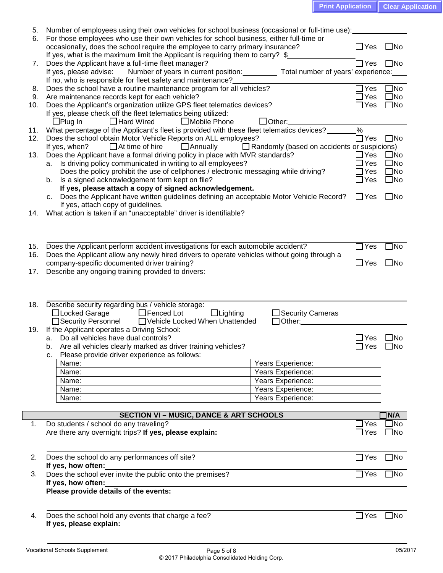| <b>Print Application   Clear Application</b> |
|----------------------------------------------|
|----------------------------------------------|

| 5.         | Number of employees using their own vehicles for school business (occasional or full-time use):                                                                                  |                                                                        |                            |                                    |
|------------|----------------------------------------------------------------------------------------------------------------------------------------------------------------------------------|------------------------------------------------------------------------|----------------------------|------------------------------------|
| 6.         | For those employees who use their own vehicles for school business, either full-time or<br>occasionally, does the school require the employee to carry primary insurance?        |                                                                        | $\Box$ Yes                 | $\square$ No                       |
|            | If yes, what is the maximum limit the Applicant is requiring them to carry? \$                                                                                                   |                                                                        |                            |                                    |
| 7.         | Does the Applicant have a full-time fleet manager?<br>Number of years in current position: Total number of years' experience:<br>If yes, please advise:                          |                                                                        | $\Box$ Yes                 | $\square$ No                       |
|            | If no, who is responsible for fleet safety and maintenance?                                                                                                                      |                                                                        |                            |                                    |
| 8.         | Does the school have a routine maintenance program for all vehicles?                                                                                                             |                                                                        | $\Box$ Yes                 | $\square$ No                       |
| 9.<br>10.  | Are maintenance records kept for each vehicle?<br>Does the Applicant's organization utilize GPS fleet telematics devices?                                                        |                                                                        | $\sqcup$ Yes<br>$\Box$ Yes | $\square$ No<br>$\square$ No       |
|            | If yes, please check off the fleet telematics being utilized:                                                                                                                    |                                                                        |                            |                                    |
|            | $\Box$ Plug In<br>$\Box$ Hard Wired<br>$\Box$ Mobile Phone                                                                                                                       | $\Box$ Other:                                                          |                            |                                    |
| 11.        | What percentage of the Applicant's fleet is provided with these fleet telematics devices?                                                                                        |                                                                        | $\%$                       |                                    |
| 12.        | Does the school obtain Motor Vehicle Reports on ALL employees?<br>$\Box$ At time of hire<br>$\Box$ Annually<br>If yes, when?                                                     | $\Box$ Randomly (based on accidents or suspicions)                     | $\Box$ Yes                 | $\square$ No                       |
| 13.        | Does the Applicant have a formal driving policy in place with MVR standards?                                                                                                     |                                                                        | $\Box$ Yes                 | $\square$ No                       |
|            | a. Is driving policy communicated in writing to all employees?                                                                                                                   |                                                                        | $\Box$ Yes                 | $\square$ No                       |
|            | Does the policy prohibit the use of cellphones / electronic messaging while driving?                                                                                             |                                                                        | $\Box$ Yes<br>$\Box$ Yes   | $\square$ No<br>$\square$ No       |
|            | Is a signed acknowledgement form kept on file?<br>b.<br>If yes, please attach a copy of signed acknowledgement.                                                                  |                                                                        |                            |                                    |
|            | Does the Applicant have written guidelines defining an acceptable Motor Vehicle Record?<br>C.                                                                                    |                                                                        | $\Box$ Yes                 | $\Box$ No                          |
|            | If yes, attach copy of guidelines.                                                                                                                                               |                                                                        |                            |                                    |
| 14.        | What action is taken if an "unacceptable" driver is identifiable?                                                                                                                |                                                                        |                            |                                    |
|            |                                                                                                                                                                                  |                                                                        |                            |                                    |
|            |                                                                                                                                                                                  |                                                                        |                            |                                    |
| 15.<br>16. | Does the Applicant perform accident investigations for each automobile accident?<br>Does the Applicant allow any newly hired drivers to operate vehicles without going through a |                                                                        | $\Box$ Yes                 | $\Box$ No                          |
|            | company-specific documented driver training?                                                                                                                                     |                                                                        | $\Box$ Yes                 | $\square$ No                       |
| 17.        | Describe any ongoing training provided to drivers:                                                                                                                               |                                                                        |                            |                                    |
|            |                                                                                                                                                                                  |                                                                        |                            |                                    |
|            |                                                                                                                                                                                  |                                                                        |                            |                                    |
|            | 18. Describe security regarding bus / vehicle storage:                                                                                                                           |                                                                        |                            |                                    |
|            | □Locked Garage<br>□ Fenced Lot<br>$\Box$ Lighting<br>□Security Personnel □ Vehicle Locked When Unattended                                                                        | □ Security Cameras<br>$\Box$ Other: $\_\_\_\_\_\_\_\_\_\_\_\_\_\_\_\_$ |                            |                                    |
| 19.        | If the Applicant operates a Driving School:                                                                                                                                      |                                                                        |                            |                                    |
|            | a. Do all vehicles have dual controls?                                                                                                                                           |                                                                        | $\Box$ Yes                 | ∐No                                |
|            | Are all vehicles clearly marked as driver training vehicles?<br>b.                                                                                                               |                                                                        | □Yes □No                   |                                    |
|            | Please provide driver experience as follows:<br>c.<br>Name:                                                                                                                      | Years Experience:                                                      |                            |                                    |
|            | Name:                                                                                                                                                                            | Years Experience:                                                      |                            |                                    |
|            | Name:                                                                                                                                                                            | Years Experience:                                                      |                            |                                    |
|            | Name:                                                                                                                                                                            | Years Experience:                                                      |                            |                                    |
|            | Name:                                                                                                                                                                            | Years Experience:                                                      |                            |                                    |
|            | <b>SECTION VI - MUSIC, DANCE &amp; ART SCHOOLS</b>                                                                                                                               |                                                                        |                            | <b>N/A</b>                         |
| 1.         | Do students / school do any traveling?                                                                                                                                           |                                                                        | $\exists$ Yes              | $\overline{\mathsf{J}}\mathsf{No}$ |
|            | Are there any overnight trips? If yes, please explain:                                                                                                                           |                                                                        | $\Box$ Yes                 | $\square$ No                       |
|            |                                                                                                                                                                                  |                                                                        |                            |                                    |
| 2.         | Does the school do any performances off site?                                                                                                                                    |                                                                        | $\Box$ Yes                 | $\square$ No                       |
|            | If yes, how often:                                                                                                                                                               |                                                                        |                            |                                    |
| 3.         | Does the school ever invite the public onto the premises?                                                                                                                        |                                                                        | $\Box$ Yes                 | $\square$ No                       |
|            | If yes, how often:<br>Please provide details of the events:                                                                                                                      |                                                                        |                            |                                    |
|            |                                                                                                                                                                                  |                                                                        |                            |                                    |
|            |                                                                                                                                                                                  |                                                                        |                            |                                    |
| 4.         | Does the school hold any events that charge a fee?<br>If yes, please explain:                                                                                                    |                                                                        | $\Box$ Yes                 | $\square$ No                       |
|            |                                                                                                                                                                                  |                                                                        |                            |                                    |
|            |                                                                                                                                                                                  |                                                                        |                            |                                    |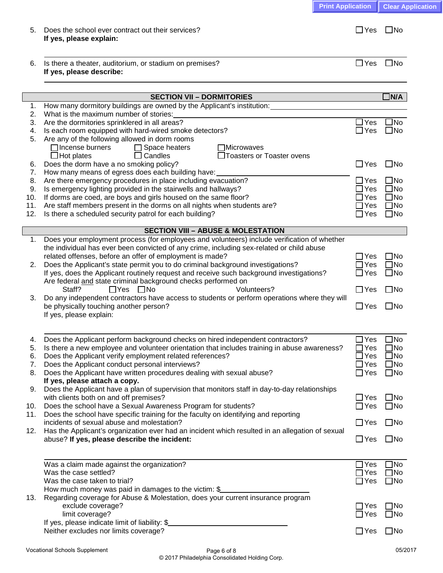| 6.       | Is there a theater, auditorium, or stadium on premises?<br>If yes, please describe:                              | $\Box$ Yes                      | $\square$ No |
|----------|------------------------------------------------------------------------------------------------------------------|---------------------------------|--------------|
|          |                                                                                                                  |                                 |              |
|          |                                                                                                                  |                                 |              |
|          | <b>SECTION VII - DORMITORIES</b>                                                                                 |                                 | $\Box$ N/A   |
| 1.       | How many dormitory buildings are owned by the Applicant's institution:<br>What is the maximum number of stories: |                                 |              |
| 2.<br>3. | Are the dormitories sprinklered in all areas?                                                                    | $\Box$ Yes                      | JNo          |
| 4.       | Is each room equipped with hard-wired smoke detectors?                                                           | $\Box$ Yes                      | $\square$ No |
| 5.       | Are any of the following allowed in dorm rooms                                                                   |                                 |              |
|          | Tincense burners<br>$\Box$ Space heaters<br>Microwaves                                                           |                                 |              |
|          | $\Box$ Hot plates<br>Toasters or Toaster ovens<br>$\Box$ Candles                                                 |                                 |              |
| 6.       | Does the dorm have a no smoking policy?                                                                          | $\Box$ Yes                      | $\Box$ No    |
| 7.       | How many means of egress does each building have:                                                                |                                 |              |
| 8.       | Are there emergency procedures in place including evacuation?                                                    | $\Box$ Yes                      | $\Box$ No    |
| 9.       | Is emergency lighting provided in the stairwells and hallways?                                                   | $\operatorname{\mathsf{I}}$ Yes | $\square$ No |
| 10.      | If dorms are coed, are boys and girls housed on the same floor?                                                  | ]Yes                            | $\square$ No |
| 11.      | Are staff members present in the dorms on all nights when students are?                                          | $\exists$ Yes                   | $\square$ No |
| 12.      | Is there a scheduled security patrol for each building?                                                          | $\Box$ Yes                      | $\square$ No |
|          |                                                                                                                  |                                 |              |
|          | <b>SECTION VIII - ABUSE &amp; MOLESTATION</b>                                                                    |                                 |              |
| 1.       | Does your employment process (for employees and volunteers) include verification of whether                      |                                 |              |
|          | the individual has ever been convicted of any crime, including sex-related or child abuse                        |                                 |              |
|          | related offenses, before an offer of employment is made?                                                         | $\exists$ Yes                   | $\square$ No |
| 2.       | Does the Applicant's state permit you to do criminal background investigations?                                  | ]Yes                            | $\Box$ No    |
|          | If yes, does the Applicant routinely request and receive such background investigations?                         | ]Yes                            | $\Box$ No    |
|          | Are federal and state criminal background checks performed on                                                    |                                 |              |
|          | Staff?<br>$\Box$ Yes $\Box$ No<br>Volunteers?                                                                    | $\Box$ Yes                      | $\square$ No |
| 3.       | Do any independent contractors have access to students or perform operations where they will                     |                                 |              |
|          | be physically touching another person?                                                                           | $\Box$ Yes                      | $\square$ No |
|          | If yes, please explain:                                                                                          |                                 |              |
|          |                                                                                                                  |                                 |              |
| 4.       | Does the Applicant perform background checks on hired independent contractors?                                   | $\exists$ Yes                   | $\Box$ No    |
| 5.       | Is there a new employee and volunteer orientation that includes training in abuse awareness?                     | 7Yes                            | $\Box$ No    |
| 6.       | Does the Applicant verify employment related references?                                                         | ]Yes                            | $\square$ No |
| 7.       | Does the Applicant conduct personal interviews?                                                                  | l Yes                           | $\square$ No |
| 8.       | Does the Applicant have written procedures dealing with sexual abuse?                                            | $\Box$ Yes                      | $\square$ No |
|          | If yes, please attach a copy.                                                                                    |                                 |              |
| 9.       | Does the Applicant have a plan of supervision that monitors staff in day-to-day relationships                    |                                 |              |
|          | with clients both on and off premises?                                                                           | $\Box$ Yes                      | $\square$ No |
| 10.      | Does the school have a Sexual Awareness Program for students?                                                    | $\Box$ Yes                      | $\square$ No |
| 11.      | Does the school have specific training for the faculty on identifying and reporting                              |                                 |              |
|          | incidents of sexual abuse and molestation?                                                                       | $\Box$ Yes                      | $\square$ No |
| 12.      | Has the Applicant's organization ever had an incident which resulted in an allegation of sexual                  |                                 |              |
|          | abuse? If yes, please describe the incident:                                                                     | $\Box$ Yes                      | $\square$ No |
|          |                                                                                                                  |                                 |              |
|          |                                                                                                                  |                                 |              |
|          | Was a claim made against the organization?                                                                       | $\Box$ Yes                      | JNo          |
|          | Was the case settled?                                                                                            | $\Box$ Yes                      | $\square$ No |
|          | Was the case taken to trial?                                                                                     | $\exists$ Yes                   | $\square$ No |

5. Does the school ever contract out their services?  $\Box$  Yes  $\Box$  Yes  $\Box$  No

|     | How much money was paid in damages to the victim: \$                            |                            |
|-----|---------------------------------------------------------------------------------|----------------------------|
| 13. | Regarding coverage for Abuse & Molestation, does your current insurance program |                            |
|     | exclude coverage?                                                               | $\square$ No<br>$\Box$ Yes |
|     | limit coverage?                                                                 | $\square$ No<br>$\Box$ Yes |
|     | If yes, please indicate limit of liability: \$                                  |                            |
|     | Neither excludes nor limits coverage?                                           | $\Box$ Yes<br>$\Box$ No    |
|     |                                                                                 |                            |

**If yes, please explain:**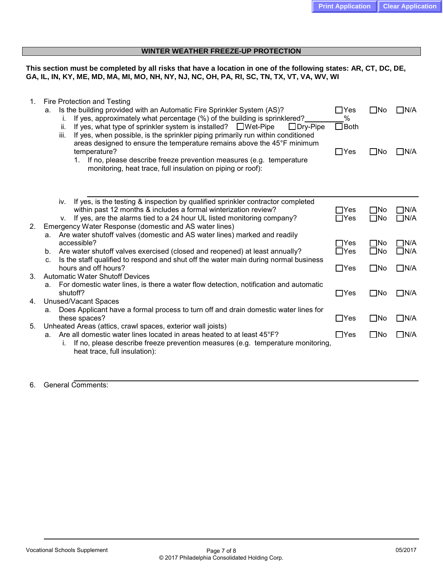# **WINTER WEATHER FREEZE-UP PROTECTION**

**This section must be completed by all risks that have a location in one of the following states: AR, CT, DC, DE, GA, IL, IN, KY, ME, MD, MA, MI, MO, NH, NY, NJ, NC, OH, PA, RI, SC, TN, TX, VT, VA, WV, WI**

| 1. | Fire Protection and Testing<br>Is the building provided with an Automatic Fire Sprinkler System (AS)?<br>a.<br>If yes, approximately what percentage (%) of the building is sprinklered?<br>i.<br>If yes, what type of sprinkler system is installed? $\Box$ Wet-Pipe<br>$\Box$ Dry-Pipe<br>ii.<br>If yes, when possible, is the sprinkler piping primarily run within conditioned<br>iii.<br>areas designed to ensure the temperature remains above the 45°F minimum<br>temperature?<br>If no, please describe freeze prevention measures (e.g. temperature<br>$1_{-}$<br>monitoring, heat trace, full insulation on piping or roof): | $\Box$ Yes<br>$\%$<br>$\Box$ Both<br>$\Box$ Yes | l INo<br>$\square$ No        | ∏N/A<br>∏N/A                |
|----|----------------------------------------------------------------------------------------------------------------------------------------------------------------------------------------------------------------------------------------------------------------------------------------------------------------------------------------------------------------------------------------------------------------------------------------------------------------------------------------------------------------------------------------------------------------------------------------------------------------------------------------|-------------------------------------------------|------------------------------|-----------------------------|
|    |                                                                                                                                                                                                                                                                                                                                                                                                                                                                                                                                                                                                                                        |                                                 |                              |                             |
|    | If yes, is the testing & inspection by qualified sprinkler contractor completed<br>iv.<br>within past 12 months & includes a formal winterization review?<br>If yes, are the alarms tied to a 24 hour UL listed monitoring company?<br>V.                                                                                                                                                                                                                                                                                                                                                                                              | $\Box$ Yes<br>$\Box$ Yes                        | ∐No<br>$\square$ No          | $\Box$ N/A<br>$\Box$ N/A    |
| 2. | Emergency Water Response (domestic and AS water lines)<br>a. Are water shutoff valves (domestic and AS water lines) marked and readily<br>accessible?<br>Are water shutoff valves exercised (closed and reopened) at least annually?<br>b.                                                                                                                                                                                                                                                                                                                                                                                             | $\Box$ Yes<br>$\Box$ Yes                        | $\square$ No<br>$\square$ No | $\Box$ N/A<br>$\square$ N/A |
|    | Is the staff qualified to respond and shut off the water main during normal business<br>$C_{r}$<br>hours and off hours?                                                                                                                                                                                                                                                                                                                                                                                                                                                                                                                | $\Box$ Yes                                      | $\square$ No                 | $\Box$ N/A                  |
| 3. | <b>Automatic Water Shutoff Devices</b><br>For domestic water lines, is there a water flow detection, notification and automatic<br>а.                                                                                                                                                                                                                                                                                                                                                                                                                                                                                                  |                                                 |                              |                             |
| 4. | shutoff?                                                                                                                                                                                                                                                                                                                                                                                                                                                                                                                                                                                                                               | $\Box$ Yes                                      | $\square$ No                 | $\square$ N/A               |
|    | <b>Unused/Vacant Spaces</b><br>Does Applicant have a formal process to turn off and drain domestic water lines for<br>a.<br>these spaces?                                                                                                                                                                                                                                                                                                                                                                                                                                                                                              | $\Box$ Yes                                      | $\square$ No                 | $\square$ N/A               |
| 5. | Unheated Areas (attics, crawl spaces, exterior wall joists)<br>Are all domestic water lines located in areas heated to at least 45°F?<br>а.<br>If no, please describe freeze prevention measures (e.g. temperature monitoring,<br>İ.<br>heat trace, full insulation):                                                                                                                                                                                                                                                                                                                                                                  | $\Box$ Yes                                      | $\square$ No                 | $\Box$ N/A                  |
|    |                                                                                                                                                                                                                                                                                                                                                                                                                                                                                                                                                                                                                                        |                                                 |                              |                             |

# 6. General Comments: